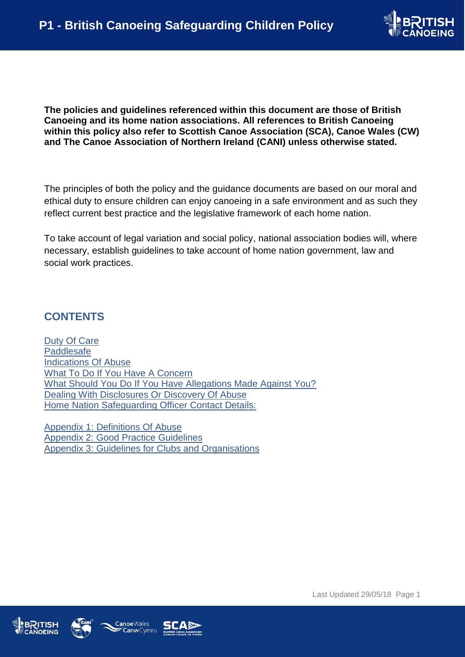

<span id="page-0-0"></span>**The policies and guidelines referenced within this document are those of British Canoeing and its home nation associations. All references to British Canoeing within this policy also refer to Scottish Canoe Association (SCA), Canoe Wales (CW) and The Canoe Association of Northern Ireland (CANI) unless otherwise stated.**

The principles of both the policy and the guidance documents are based on our moral and ethical duty to ensure children can enjoy canoeing in a safe environment and as such they reflect current best practice and the legislative framework of each home nation.

To take account of legal variation and social policy, national association bodies will, where necessary, establish guidelines to take account of home nation government, law and social work practices.

### **CONTENTS**

[Duty Of Care](#page-0-0) [Paddlesafe](#page-2-0) [Indications Of Abuse](#page-2-1) [What To Do If You Have A Concern](#page-3-0) [What Should You Do If You Have Allegations Made Against You?](#page-4-0) [Dealing With Disclosures Or Discovery Of Abuse](#page-4-1) [Home Nation Safeguarding Officer Contact Details:](#page-5-0)

[Appendix 1: Definitions Of Abuse](#page-6-0) [Appendix 2: Good Practice Guidelines](#page-6-1) [Appendix 3: Guidelines for Clubs and Organisations](#page-8-0)





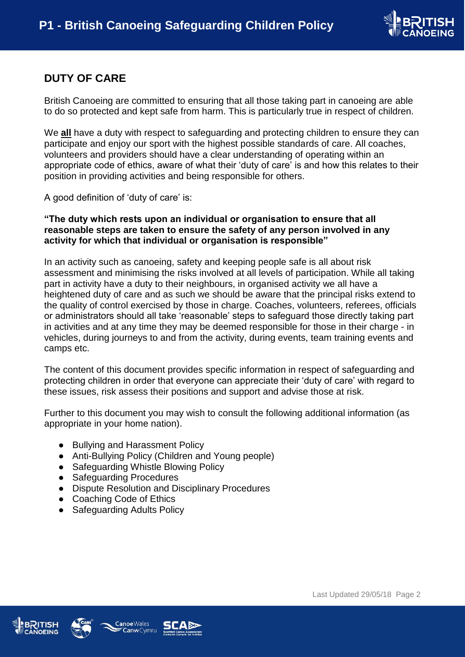

## **DUTY OF CARE**

British Canoeing are committed to ensuring that all those taking part in canoeing are able to do so protected and kept safe from harm. This is particularly true in respect of children.

We **all** have a duty with respect to safeguarding and protecting children to ensure they can participate and enjoy our sport with the highest possible standards of care. All coaches, volunteers and providers should have a clear understanding of operating within an appropriate code of ethics, aware of what their 'duty of care' is and how this relates to their position in providing activities and being responsible for others.

A good definition of 'duty of care' is:

### **"The duty which rests upon an individual or organisation to ensure that all reasonable steps are taken to ensure the safety of any person involved in any activity for which that individual or organisation is responsible"**

In an activity such as canoeing, safety and keeping people safe is all about risk assessment and minimising the risks involved at all levels of participation. While all taking part in activity have a duty to their neighbours, in organised activity we all have a heightened duty of care and as such we should be aware that the principal risks extend to the quality of control exercised by those in charge. Coaches, volunteers, referees, officials or administrators should all take 'reasonable' steps to safeguard those directly taking part in activities and at any time they may be deemed responsible for those in their charge - in vehicles, during journeys to and from the activity, during events, team training events and camps etc.

The content of this document provides specific information in respect of safeguarding and protecting children in order that everyone can appreciate their 'duty of care' with regard to these issues, risk assess their positions and support and advise those at risk.

Further to this document you may wish to consult the following additional information (as appropriate in your home nation).

- Bullying and Harassment Policy
- Anti-Bullying Policy (Children and Young people)
- Safeguarding Whistle Blowing Policy
- Safeguarding Procedures
- Dispute Resolution and Disciplinary Procedures
- Coaching Code of Ethics
- **Safeguarding Adults Policy**





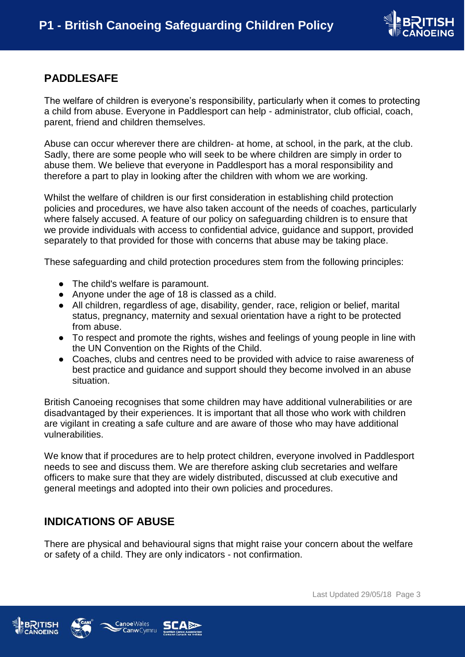

## <span id="page-2-0"></span>**PADDLESAFE**

The welfare of children is everyone's responsibility, particularly when it comes to protecting a child from abuse. Everyone in Paddlesport can help - administrator, club official, coach, parent, friend and children themselves.

Abuse can occur wherever there are children- at home, at school, in the park, at the club. Sadly, there are some people who will seek to be where children are simply in order to abuse them. We believe that everyone in Paddlesport has a moral responsibility and therefore a part to play in looking after the children with whom we are working.

Whilst the welfare of children is our first consideration in establishing child protection policies and procedures, we have also taken account of the needs of coaches, particularly where falsely accused. A feature of our policy on safeguarding children is to ensure that we provide individuals with access to confidential advice, guidance and support, provided separately to that provided for those with concerns that abuse may be taking place.

These safeguarding and child protection procedures stem from the following principles:

- The child's welfare is paramount.
- Anyone under the age of 18 is classed as a child.
- All children, regardless of age, disability, gender, race, religion or belief, marital status, pregnancy, maternity and sexual orientation have a right to be protected from abuse.
- To respect and promote the rights, wishes and feelings of young people in line with the UN Convention on the Rights of the Child.
- Coaches, clubs and centres need to be provided with advice to raise awareness of best practice and guidance and support should they become involved in an abuse situation.

British Canoeing recognises that some children may have additional vulnerabilities or are disadvantaged by their experiences. It is important that all those who work with children are vigilant in creating a safe culture and are aware of those who may have additional vulnerabilities.

We know that if procedures are to help protect children, everyone involved in Paddlesport needs to see and discuss them. We are therefore asking club secretaries and welfare officers to make sure that they are widely distributed, discussed at club executive and general meetings and adopted into their own policies and procedures.

### <span id="page-2-1"></span>**INDICATIONS OF ABUSE**

There are physical and behavioural signs that might raise your concern about the welfare or safety of a child. They are only indicators - not confirmation.





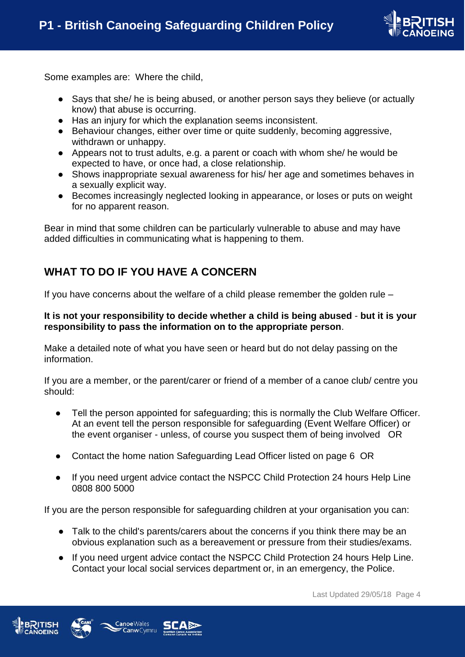

Some examples are: Where the child,

- Says that she/ he is being abused, or another person says they believe (or actually know) that abuse is occurring.
- Has an injury for which the explanation seems inconsistent.
- Behaviour changes, either over time or quite suddenly, becoming aggressive, withdrawn or unhappy.
- Appears not to trust adults, e.g. a parent or coach with whom she/ he would be expected to have, or once had, a close relationship.
- Shows inappropriate sexual awareness for his/ her age and sometimes behaves in a sexually explicit way.
- Becomes increasingly neglected looking in appearance, or loses or puts on weight for no apparent reason.

<span id="page-3-0"></span>Bear in mind that some children can be particularly vulnerable to abuse and may have added difficulties in communicating what is happening to them.

## **WHAT TO DO IF YOU HAVE A CONCERN**

If you have concerns about the welfare of a child please remember the golden rule –

### **It is not your responsibility to decide whether a child is being abused** - **but it is your responsibility to pass the information on to the appropriate person**.

Make a detailed note of what you have seen or heard but do not delay passing on the information.

If you are a member, or the parent/carer or friend of a member of a canoe club/ centre you should:

- Tell the person appointed for safeguarding; this is normally the Club Welfare Officer. At an event tell the person responsible for safeguarding (Event Welfare Officer) or the event organiser - unless, of course you suspect them of being involved OR
- Contact the home nation Safeguarding Lead Officer listed on page 6 OR
- If you need urgent advice contact the NSPCC Child Protection 24 hours Help Line 0808 800 5000

If you are the person responsible for safeguarding children at your organisation you can:

- Talk to the child's parents/carers about the concerns if you think there may be an obvious explanation such as a bereavement or pressure from their studies/exams.
- If you need urgent advice contact the NSPCC Child Protection 24 hours Help Line. Contact your local social services department or, in an emergency, the Police.





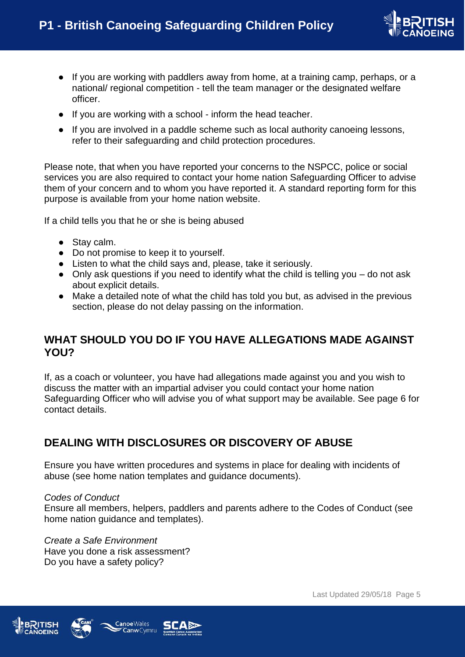

- If you are working with paddlers away from home, at a training camp, perhaps, or a national/ regional competition - tell the team manager or the designated welfare officer.
- If you are working with a school inform the head teacher.
- If you are involved in a paddle scheme such as local authority canoeing lessons, refer to their safeguarding and child protection procedures.

Please note, that when you have reported your concerns to the NSPCC, police or social services you are also required to contact your home nation Safeguarding Officer to advise them of your concern and to whom you have reported it. A standard reporting form for this purpose is available from your home nation website.

If a child tells you that he or she is being abused

- Stay calm.
- Do not promise to keep it to yourself.
- Listen to what the child says and, please, take it seriously.
- Only ask questions if you need to identify what the child is telling you do not ask about explicit details.
- Make a detailed note of what the child has told you but, as advised in the previous section, please do not delay passing on the information.

### <span id="page-4-0"></span>**WHAT SHOULD YOU DO IF YOU HAVE ALLEGATIONS MADE AGAINST YOU?**

If, as a coach or volunteer, you have had allegations made against you and you wish to discuss the matter with an impartial adviser you could contact your home nation Safeguarding Officer who will advise you of what support may be available. See page 6 for contact details.

## <span id="page-4-1"></span>**DEALING WITH DISCLOSURES OR DISCOVERY OF ABUSE**

Ensure you have written procedures and systems in place for dealing with incidents of abuse (see home nation templates and guidance documents).

#### *Codes of Conduct*

Ensure all members, helpers, paddlers and parents adhere to the Codes of Conduct (see home nation guidance and templates).

*Create a Safe Environment*  Have you done a risk assessment? Do you have a safety policy?





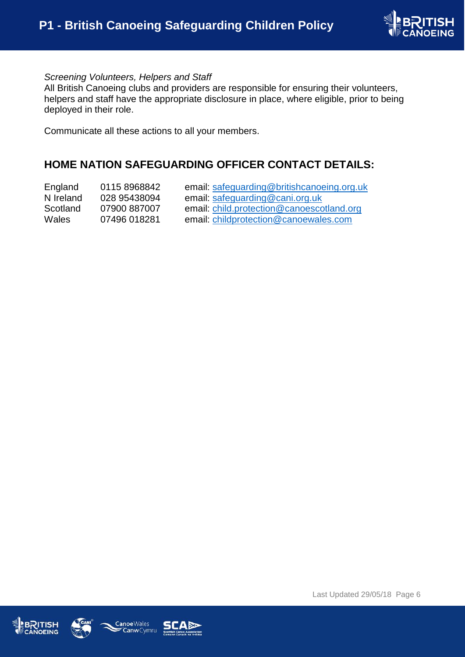

### *Screening Volunteers, Helpers and Staff*

All British Canoeing clubs and providers are responsible for ensuring their volunteers, helpers and staff have the appropriate disclosure in place, where eligible, prior to being deployed in their role.

<span id="page-5-0"></span>Communicate all these actions to all your members.

### **HOME NATION SAFEGUARDING OFFICER CONTACT DETAILS:**

| England      | 0115 8968842 | email: safeguarding@britishcanoeing.org.uk |
|--------------|--------------|--------------------------------------------|
| N Ireland    | 028 95438094 | email: safeguarding@cani.org.uk            |
| Scotland     | 07900 887007 | email: child.protection@canoescotland.org  |
| <b>Wales</b> | 07496 018281 | email: childprotection@canoewales.com      |





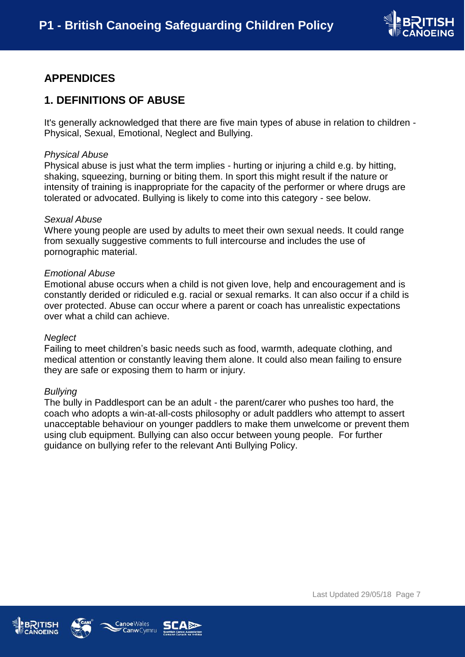

# <span id="page-6-0"></span>**APPENDICES**

### **1. DEFINITIONS OF ABUSE**

It's generally acknowledged that there are five main types of abuse in relation to children - Physical, Sexual, Emotional, Neglect and Bullying.

#### *Physical Abuse*

Physical abuse is just what the term implies - hurting or injuring a child e.g. by hitting, shaking, squeezing, burning or biting them. In sport this might result if the nature or intensity of training is inappropriate for the capacity of the performer or where drugs are tolerated or advocated. Bullying is likely to come into this category - see below.

#### *Sexual Abuse*

Where young people are used by adults to meet their own sexual needs. It could range from sexually suggestive comments to full intercourse and includes the use of pornographic material.

#### *Emotional Abuse*

Emotional abuse occurs when a child is not given love, help and encouragement and is constantly derided or ridiculed e.g. racial or sexual remarks. It can also occur if a child is over protected. Abuse can occur where a parent or coach has unrealistic expectations over what a child can achieve.

#### *Neglect*

Failing to meet children's basic needs such as food, warmth, adequate clothing, and medical attention or constantly leaving them alone. It could also mean failing to ensure they are safe or exposing them to harm or injury.

#### *Bullying*

<span id="page-6-1"></span>The bully in Paddlesport can be an adult - the parent/carer who pushes too hard, the coach who adopts a win-at-all-costs philosophy or adult paddlers who attempt to assert unacceptable behaviour on younger paddlers to make them unwelcome or prevent them using club equipment. Bullying can also occur between young people. For further guidance on bullying refer to the relevant Anti Bullying Policy.





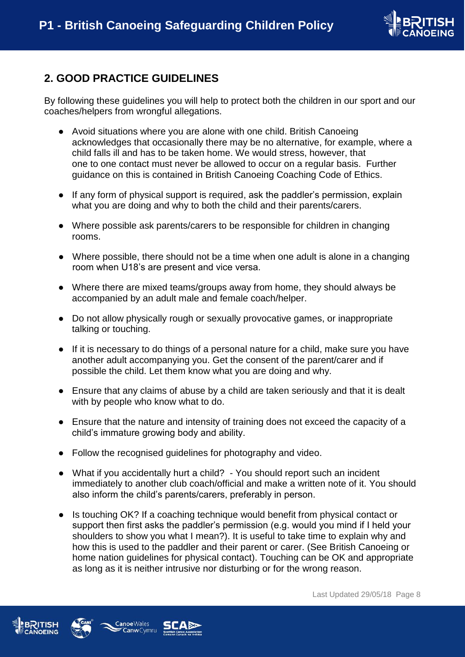

# **2. GOOD PRACTICE GUIDELINES**

By following these guidelines you will help to protect both the children in our sport and our coaches/helpers from wrongful allegations.

- Avoid situations where you are alone with one child. British Canoeing acknowledges that occasionally there may be no alternative, for example, where a child falls ill and has to be taken home. We would stress, however, that one to one contact must never be allowed to occur on a regular basis. Further guidance on this is contained in British Canoeing Coaching Code of Ethics.
- If any form of physical support is required, ask the paddler's permission, explain what you are doing and why to both the child and their parents/carers.
- Where possible ask parents/carers to be responsible for children in changing rooms.
- Where possible, there should not be a time when one adult is alone in a changing room when U18's are present and vice versa.
- Where there are mixed teams/groups away from home, they should always be accompanied by an adult male and female coach/helper.
- Do not allow physically rough or sexually provocative games, or inappropriate talking or touching.
- If it is necessary to do things of a personal nature for a child, make sure you have another adult accompanying you. Get the consent of the parent/carer and if possible the child. Let them know what you are doing and why.
- Ensure that any claims of abuse by a child are taken seriously and that it is dealt with by people who know what to do.
- Ensure that the nature and intensity of training does not exceed the capacity of a child's immature growing body and ability.
- Follow the recognised guidelines for photography and video.
- What if you accidentally hurt a child? You should report such an incident immediately to another club coach/official and make a written note of it. You should also inform the child's parents/carers, preferably in person.
- Is touching OK? If a coaching technique would benefit from physical contact or support then first asks the paddler's permission (e.g. would you mind if I held your shoulders to show you what I mean?). It is useful to take time to explain why and how this is used to the paddler and their parent or carer. (See British Canoeing or home nation guidelines for physical contact). Touching can be OK and appropriate as long as it is neither intrusive nor disturbing or for the wrong reason.